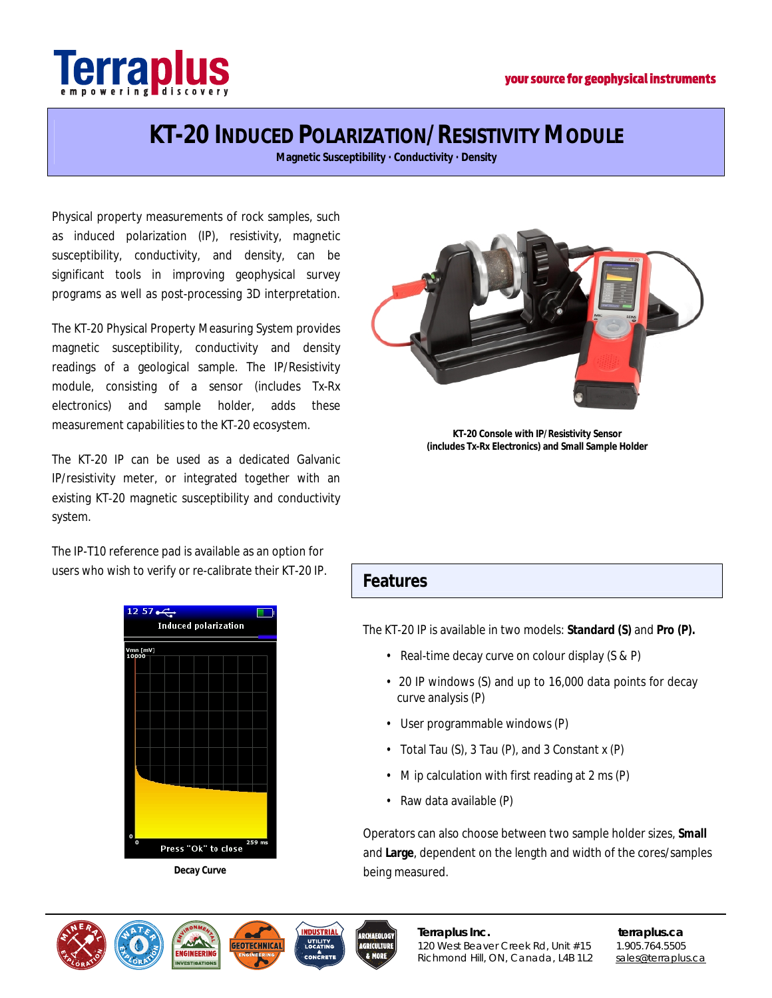

# **KT-20 INDUCED POLARIZATION/RESISTIVITY MODULE**

**Magnetic Susceptibility · Conductivity · Density**

Physical property measurements of rock samples, such as induced polarization (IP), resistivity, magnetic susceptibility, conductivity, and density, can be significant tools in improving geophysical survey programs as well as post-processing 3D interpretation.

The KT‐20 Physical Property Measuring System provides magnetic susceptibility, conductivity and density readings of a geological sample. The IP/Resistivity module, consisting of a sensor (includes Tx-Rx electronics) and sample holder, adds these measurement capabilities to the KT‐20 ecosystem.

The KT-20 IP can be used as a dedicated Galvanic IP/resistivity meter, or integrated together with an existing KT‐20 magnetic susceptibility and conductivity system.

The IP-T10 reference pad is available as an option for users who wish to verify or re-calibrate their KT-20 IP.



**Decay Curve**



**KT-20 Console with IP/Resistivity Sensor (includes Tx-Rx Electronics) and Small Sample Holder**

#### **Features**

The KT-20 IP is available in two models: **Standard (S)** and **Pro (P).**

- Real-time decay curve on colour display (S & P)
- 20 IP windows (S) and up to 16,000 data points for decay curve analysis (P)
- User programmable windows (P)
- Total Tau (S), 3 Tau (P), and 3 Constant x (P)
- M ip calculation with first reading at 2 ms (P)
- Raw data available (P)

Operators can also choose between two sample holder sizes, **Small**  and **Large**, dependent on the length and width of the cores/samples being measured.

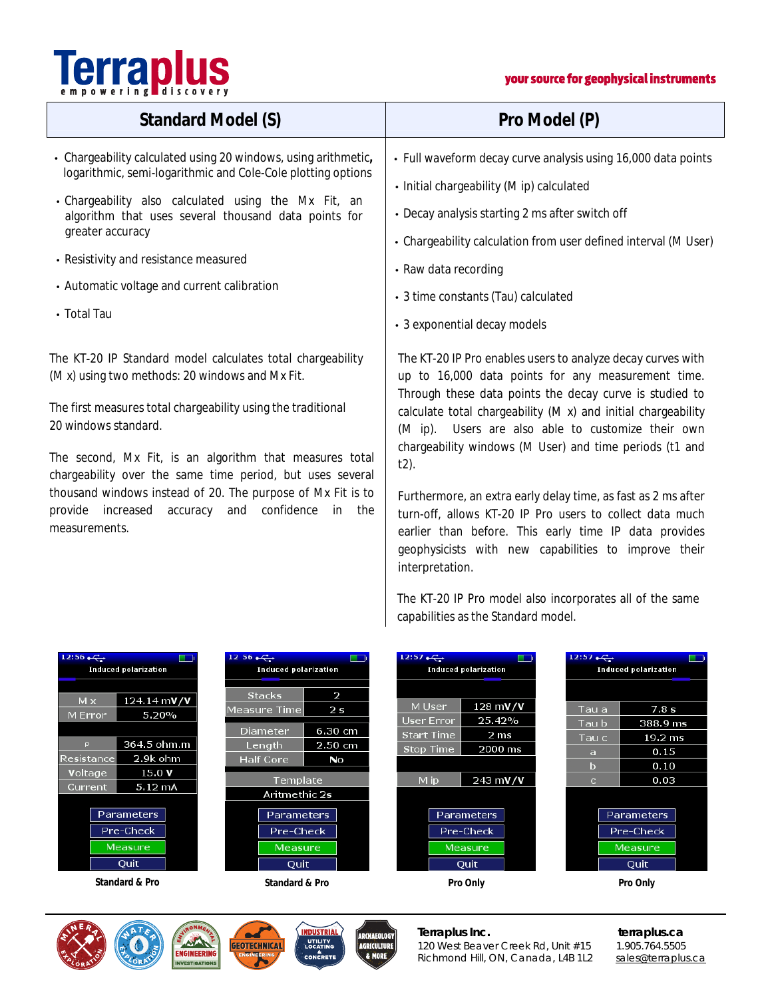# **Terraplus**

#### your source for geophysical instruments

| Standard Model (S)                                                                                                                                                                                                                                                                                                                                                | Pro Model (P)                                                                                                                                                                                                                                                                                                                                                                                                                                                                                                         |
|-------------------------------------------------------------------------------------------------------------------------------------------------------------------------------------------------------------------------------------------------------------------------------------------------------------------------------------------------------------------|-----------------------------------------------------------------------------------------------------------------------------------------------------------------------------------------------------------------------------------------------------------------------------------------------------------------------------------------------------------------------------------------------------------------------------------------------------------------------------------------------------------------------|
| Chargeability calculated using 20 windows, using arithmetic,<br>logarithmic, semi-logarithmic and Cole-Cole plotting options<br>Chargeability also calculated using the Mx Fit, an<br>algorithm that uses several thousand data points for<br>greater accuracy<br>Resistivity and resistance measured<br>Automatic voltage and current calibration<br>. Total Tau | Full waveform decay curve analysis using 16,000 data points<br>. Initial chargeability (M ip) calculated<br>Decay analysis starting 2 ms after switch off<br>Chargeability calculation from user defined interval (M User)<br>· Raw data recording<br>3 time constants (Tau) calculated<br>3 exponential decay models                                                                                                                                                                                                 |
| The KT-20 IP Standard model calculates total chargeability<br>(M x) using two methods: 20 windows and Mx Fit.                                                                                                                                                                                                                                                     | The KT-20 IP Pro enables users to analyze decay curves with<br>up to 16,000 data points for any measurement time.                                                                                                                                                                                                                                                                                                                                                                                                     |
| The first measures total chargeability using the traditional<br>20 windows standard.<br>The second, Mx Fit, is an algorithm that measures total<br>chargeability over the same time period, but uses several<br>thousand windows instead of 20. The purpose of Mx Fit is to<br>provide increased<br>confidence<br>in<br>the<br>accuracy<br>and<br>measurements.   | Through these data points the decay curve is studied to<br>calculate total chargeability (M x) and initial chargeability<br>(M ip). Users are also able to customize their own<br>chargeability windows (M User) and time periods (t1 and<br>$t2$ ).<br>Furthermore, an extra early delay time, as fast as 2 ms after<br>turn-off, allows KT-20 IP Pro users to collect data much<br>earlier than before. This early time IP data provides<br>geophysicists with new capabilities to improve their<br>interpretation. |

The KT-20 IP Pro model also incorporates all of the same capabilities as the Standard model.

| $12:56 \rightarrow \rightarrow$<br><b>Induced polarization</b> |                                                                        | $12\,56$<br><b>Induced polarization</b>                                        |                                                 | 12:57<br><b>The State</b><br><b>Induced polarization</b> |                                                                         |                                   | 12:57.<br>n i<br><b>Induced polarization</b>              |  |
|----------------------------------------------------------------|------------------------------------------------------------------------|--------------------------------------------------------------------------------|-------------------------------------------------|----------------------------------------------------------|-------------------------------------------------------------------------|-----------------------------------|-----------------------------------------------------------|--|
| M x<br>M Error<br>$\mathsf{p}$<br>Resistance<br>Voltage        | $124.14 \text{ mV/V}$<br>5.20%<br>364.5 ohm.m<br>2.9k ohm<br>15.0 V    | <b>Stacks</b><br>Measure Time<br>Diameter<br>Length<br><b>Half Core</b>        | 2<br>2 <sub>s</sub><br>6.30 cm<br>2.50 cm<br>No | M User<br>User Error<br><b>Start Time</b><br>Stop Time   | $128 \text{ mV/V}$<br>25.42%<br>2 <sub>ms</sub><br>2000 ms              | Tau a<br>Tau b<br>Tau c<br>a<br>b | 7.8 s<br>388.9 ms<br>$19.2 \text{ ms}$<br>0.15<br>0.10    |  |
| Current                                                        | $5.12 \text{ mA}$<br><b>Parameters</b><br>Pre-Check<br>Measure<br>Quit | Template<br>Aritmethic 2s<br><b>Parameters</b><br>Pre-Check<br>Measure<br>Quit |                                                 | M ip                                                     | $243 \text{ mV/V}$<br><b>Parameters</b><br>Pre-Check<br>Measure<br>Quit | $\mathbf{C}$                      | 0.03<br><b>Parameters</b><br>Pre-Check<br>Measure<br>Quit |  |
| Standard & Pro                                                 |                                                                        | Standard & Pro                                                                 |                                                 | Pro Only                                                 |                                                                         |                                   | Pro Only                                                  |  |









**Terraplus Inc.** terraplus.ca<br>120 West Beaver Creek Rd, Unit #15 1.905.764.5505 120 West Beaver Creek Rd, Unit #15 Richmond Hill, ON, Canada, L4B 1L2 [sales@terraplus.ca](mailto:sales@terraplus.ca)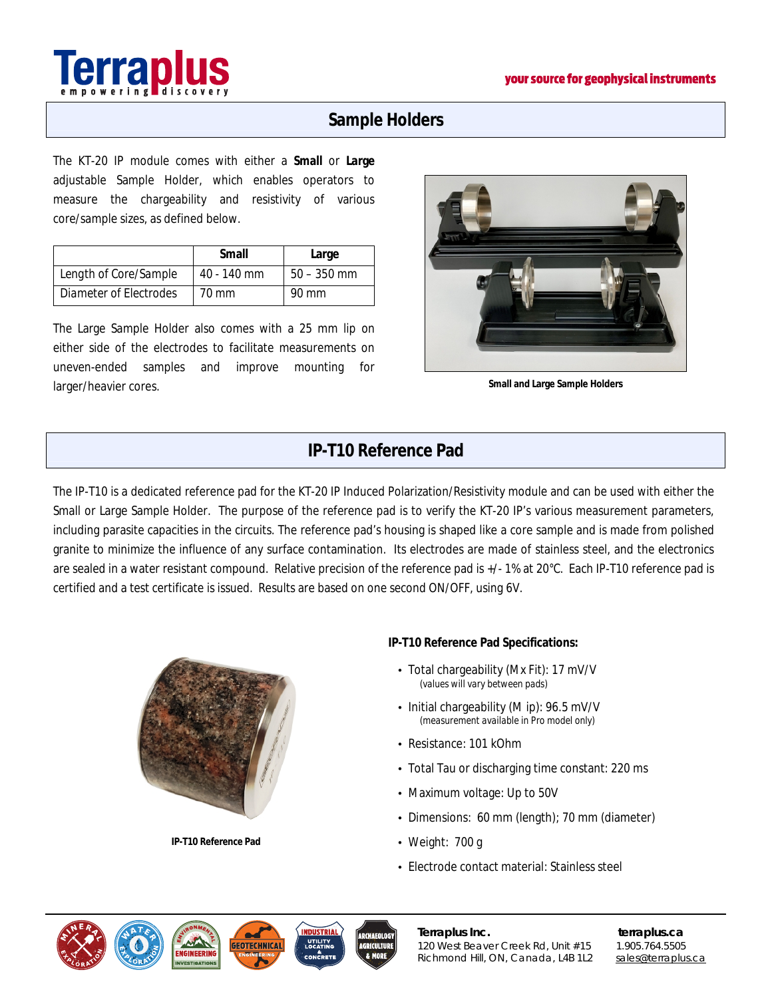

# **Sample Holders**

The KT-20 IP module comes with either a **Small** or **Large** adjustable Sample Holder, which enables operators to measure the chargeability and resistivity of various core/sample sizes, as defined below.

|                        | Small         | Large         |
|------------------------|---------------|---------------|
| Length of Core/Sample  | $40 - 140$ mm | $50 - 350$ mm |
| Diameter of Electrodes | 70 mm         | 90 mm         |

The Large Sample Holder also comes with a 25 mm lip on either side of the electrodes to facilitate measurements on uneven-ended samples and improve mounting for larger/heavier cores.



**Small and Large Sample Holders**

# **IP-T10 Reference Pad**

The IP-T10 is a dedicated reference pad for the KT-20 IP Induced Polarization/Resistivity module and can be used with either the Small or Large Sample Holder. The purpose of the reference pad is to verify the KT-20 IP's various measurement parameters, including parasite capacities in the circuits. The reference pad's housing is shaped like a core sample and is made from polished granite to minimize the influence of any surface contamination. Its electrodes are made of stainless steel, and the electronics are sealed in a water resistant compound. Relative precision of the reference pad is +/- 1% at 20°C. Each IP-T10 reference pad is certified and a test certificate is issued. Results are based on one second ON/OFF, using 6V.



**IP-T10 Reference Pad** 

**IP-T10 Reference Pad Specifications:** 

- Total chargeability (Mx Fit): 17 mV/V  *(values will vary between pads)*
- Initial chargeability (M ip): 96.5 mV/V  *(measurement available in Pro model only)*
- Resistance: 101 kOhm
- Total Tau or discharging time constant: 220 ms
- Maximum voltage: Up to 50V
- Dimensions: 60 mm (length); 70 mm (diameter)
- Weight: 700 g
- Electrode contact material: Stainless steel